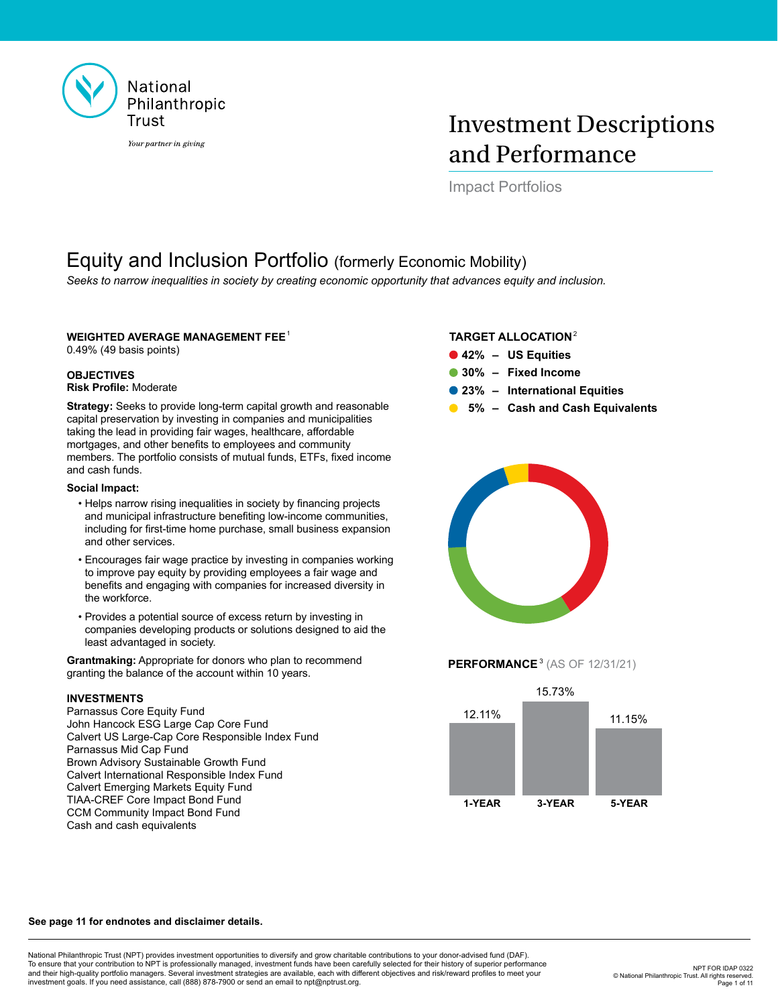

# Investment Descriptions and Performance

Impact Portfolios

# Equity and Inclusion Portfolio (formerly Economic Mobility)

*Seeks to narrow inequalities in society by creating economic opportunity that advances equity and inclusion.*

## **WEIGHTED AVERAGE MANAGEMENT FEE**<sup>1</sup>

0.49% (49 basis points)

### **OBJECTIVES Risk Profile:** Moderate

**Strategy:** Seeks to provide long-term capital growth and reasonable capital preservation by investing in companies and municipalities taking the lead in providing fair wages, healthcare, affordable mortgages, and other benefits to employees and community members. The portfolio consists of mutual funds, ETFs, fixed income and cash funds.

### **Social Impact:**

- Helps narrow rising inequalities in society by financing projects and municipal infrastructure benefiting low-income communities, including for first-time home purchase, small business expansion and other services.
- Encourages fair wage practice by investing in companies working to improve pay equity by providing employees a fair wage and benefits and engaging with companies for increased diversity in the workforce.
- Provides a potential source of excess return by investing in companies developing products or solutions designed to aid the least advantaged in society.

**Grantmaking:** Appropriate for donors who plan to recommend granting the balance of the account within 10 years.

## **INVESTMENTS**

Parnassus Core Equity Fund John Hancock ESG Large Cap Core Fund Calvert US Large-Cap Core Responsible Index Fund Parnassus Mid Cap Fund Brown Advisory Sustainable Growth Fund Calvert International Responsible Index Fund Calvert Emerging Markets Equity Fund TIAA-CREF Core Impact Bond Fund CCM Community Impact Bond Fund Cash and cash equivalents

## **TARGET ALLOCATION**<sup>2</sup>

- **42% – US Equities**
- **30% – Fixed Income**
- **23% – International Equities**
- **5% – Cash and Cash Equivalents**



# **PERFORMANCE**<sup>3</sup> (AS OF 12/31/21)



### **See page 11 for endnotes and disclaimer details.**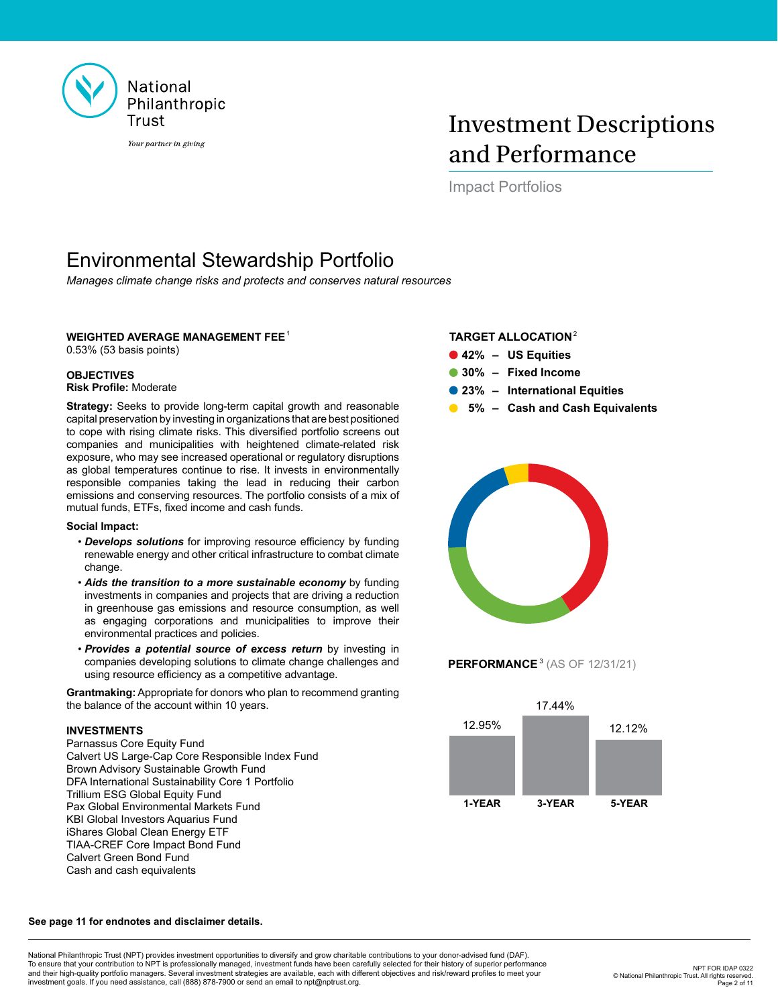

# Investment Descriptions and Performance

Impact Portfolios

# Environmental Stewardship Portfolio

*Manages climate change risks and protects and conserves natural resources*

## **WEIGHTED AVERAGE MANAGEMENT FEE**<sup>1</sup>

0.53% (53 basis points)

### **OBJECTIVES Risk Profile:** Moderate

**Strategy:** Seeks to provide long-term capital growth and reasonable capital preservation by investing in organizations that are best positioned to cope with rising climate risks. This diversified portfolio screens out companies and municipalities with heightened climate-related risk exposure, who may see increased operational or regulatory disruptions as global temperatures continue to rise. It invests in environmentally responsible companies taking the lead in reducing their carbon emissions and conserving resources. The portfolio consists of a mix of mutual funds, ETFs, fixed income and cash funds.

### **Social Impact:**

- *Develops solutions* for improving resource efficiency by funding renewable energy and other critical infrastructure to combat climate change.
- *Aids the transition to a more sustainable economy* by funding investments in companies and projects that are driving a reduction in greenhouse gas emissions and resource consumption, as well as engaging corporations and municipalities to improve their environmental practices and policies.
- *Provides a potential source of excess return* by investing in companies developing solutions to climate change challenges and using resource efficiency as a competitive advantage.

**Grantmaking:** Appropriate for donors who plan to recommend granting the balance of the account within 10 years.

### **INVESTMENTS**

Parnassus Core Equity Fund Calvert US Large-Cap Core Responsible Index Fund Brown Advisory Sustainable Growth Fund DFA International Sustainability Core 1 Portfolio Trillium ESG Global Equity Fund Pax Global Environmental Markets Fund KBI Global Investors Aquarius Fund iShares Global Clean Energy ETF TIAA-CREF Core Impact Bond Fund Calvert Green Bond Fund Cash and cash equivalents

## **TARGET ALLOCATION**<sup>2</sup>

- **42% – US Equities**
- **30% – Fixed Income**
- **23% – International Equities**
- **5% – Cash and Cash Equivalents**



# **PERFORMANCE**<sup>3</sup> (AS OF 12/31/21)



### **See page 11 for endnotes and disclaimer details.**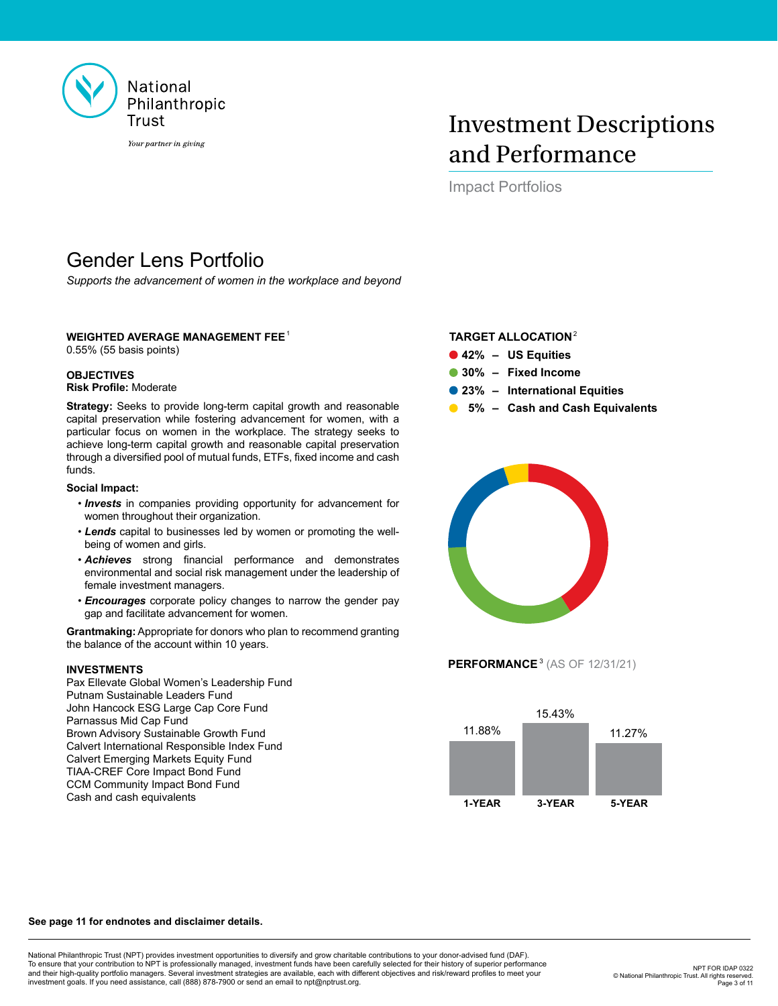

# Investment Descriptions and Performance

Impact Portfolios

# Gender Lens Portfolio

*Supports the advancement of women in the workplace and beyond*

## **WEIGHTED AVERAGE MANAGEMENT FEE**<sup>1</sup>

0.55% (55 basis points)

### **OBJECTIVES Risk Profile:** Moderate

**Strategy:** Seeks to provide long-term capital growth and reasonable capital preservation while fostering advancement for women, with a particular focus on women in the workplace. The strategy seeks to achieve long-term capital growth and reasonable capital preservation through a diversified pool of mutual funds, ETFs, fixed income and cash funds.

### **Social Impact:**

- *Invests* in companies providing opportunity for advancement for women throughout their organization.
- *Lends* capital to businesses led by women or promoting the wellbeing of women and girls.
- *Achieves* strong financial performance and demonstrates environmental and social risk management under the leadership of female investment managers.
- *Encourages* corporate policy changes to narrow the gender pay gap and facilitate advancement for women.

**Grantmaking:** Appropriate for donors who plan to recommend granting the balance of the account within 10 years.

### **INVESTMENTS**

Pax Ellevate Global Women's Leadership Fund Putnam Sustainable Leaders Fund John Hancock ESG Large Cap Core Fund Parnassus Mid Cap Fund Brown Advisory Sustainable Growth Fund Calvert International Responsible Index Fund Calvert Emerging Markets Equity Fund TIAA-CREF Core Impact Bond Fund CCM Community Impact Bond Fund Cash and cash equivalents

### **TARGET ALLOCATION**<sup>2</sup>

- **42% – US Equities**
- **30% – Fixed Income**
- **23% – International Equities**
- **5% – Cash and Cash Equivalents**



**PERFORMANCE**<sup>3</sup> (AS OF 12/31/21)



### **See page 11 for endnotes and disclaimer details.**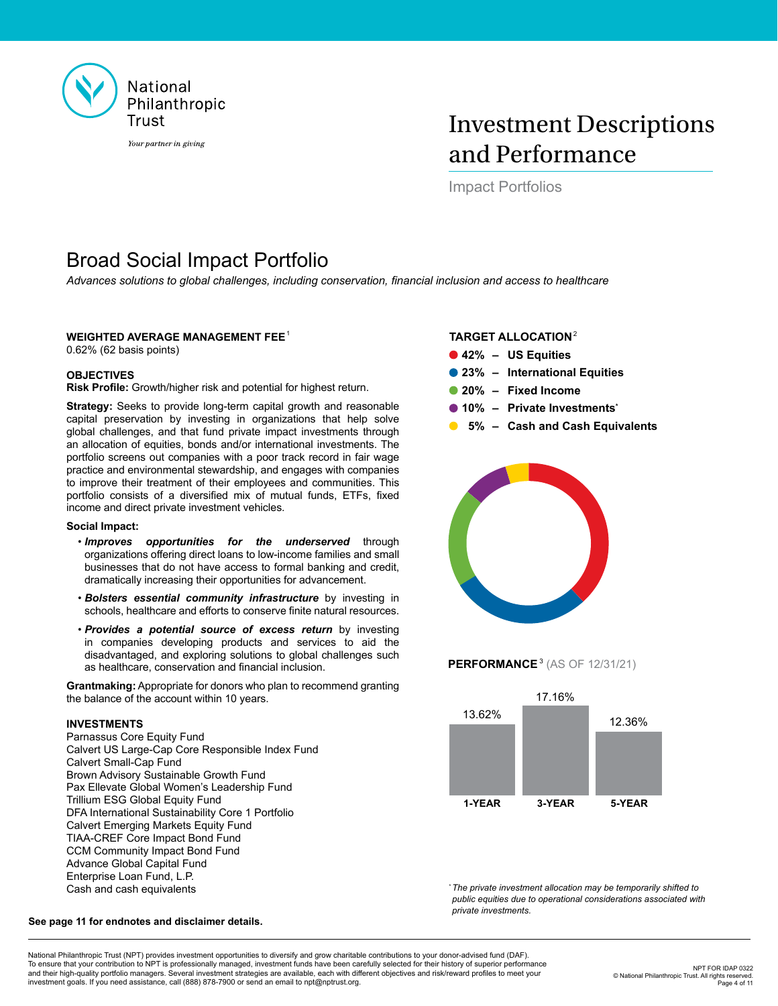

# Investment Descriptions and Performance

Impact Portfolios

# Broad Social Impact Portfolio

*Advances solutions to global challenges, including conservation, financial inclusion and access to healthcare*

## **WEIGHTED AVERAGE MANAGEMENT FEE**<sup>1</sup>

0.62% (62 basis points)

## **OBJECTIVES**

**Risk Profile:** Growth/higher risk and potential for highest return.

**Strategy:** Seeks to provide long-term capital growth and reasonable capital preservation by investing in organizations that help solve global challenges, and that fund private impact investments through an allocation of equities, bonds and/or international investments. The portfolio screens out companies with a poor track record in fair wage practice and environmental stewardship, and engages with companies to improve their treatment of their employees and communities. This portfolio consists of a diversified mix of mutual funds, ETFs, fixed income and direct private investment vehicles.

### **Social Impact:**

- *Improves opportunities for the underserved* through organizations offering direct loans to low-income families and small businesses that do not have access to formal banking and credit, dramatically increasing their opportunities for advancement.
- *Bolsters essential community infrastructure* by investing in schools, healthcare and efforts to conserve finite natural resources.
- *Provides a potential source of excess return* by investing in companies developing products and services to aid the disadvantaged, and exploring solutions to global challenges such as healthcare, conservation and financial inclusion.

**Grantmaking:** Appropriate for donors who plan to recommend granting the balance of the account within 10 years.

### **INVESTMENTS**

Parnassus Core Equity Fund Calvert US Large-Cap Core Responsible Index Fund Calvert Small-Cap Fund Brown Advisory Sustainable Growth Fund Pax Ellevate Global Women's Leadership Fund Trillium ESG Global Equity Fund DFA International Sustainability Core 1 Portfolio Calvert Emerging Markets Equity Fund TIAA-CREF Core Impact Bond Fund CCM Community Impact Bond Fund Advance Global Capital Fund Enterprise Loan Fund, L.P. Cash and cash equivalents

### **TARGET ALLOCATION**<sup>2</sup>

- **42% – US Equities**
- **23% – International Equities**
- **20% – Fixed Income**
- **10% – Private Investments\***
- **5% – Cash and Cash Equivalents**



## **PERFORMANCE**<sup>3</sup> (AS OF 12/31/21)



*\* The private investment allocation may be temporarily shifted to public equities due to operational considerations associated with private investments.* 

### **See page 11 for endnotes and disclaimer details.**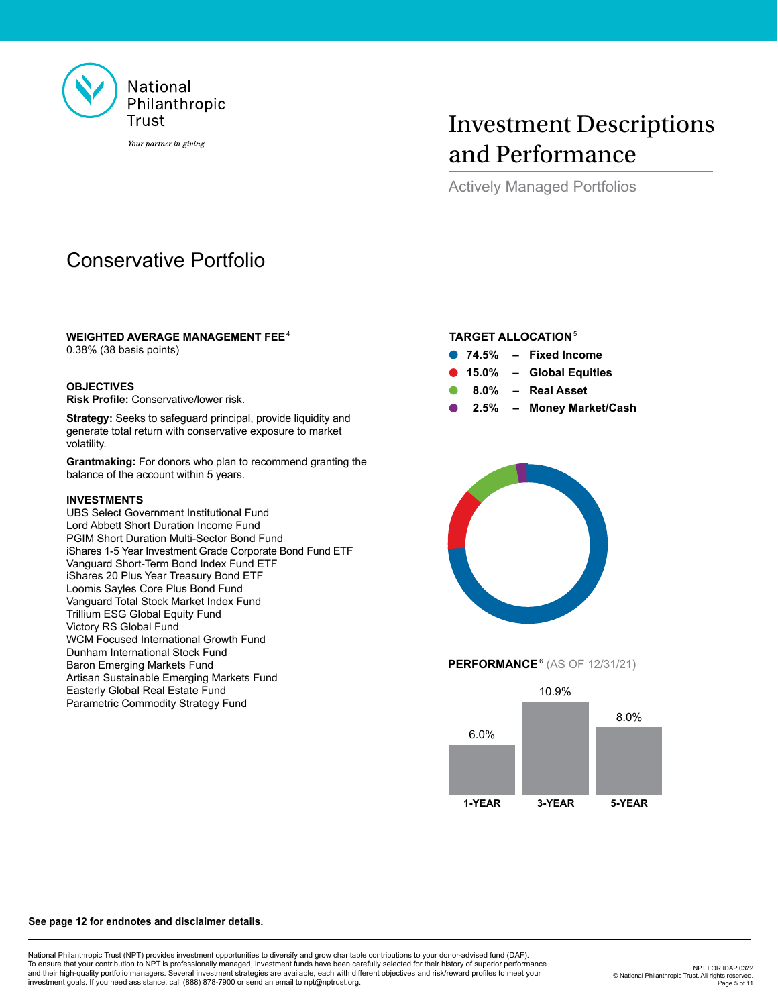

# Investment Descriptions and Performance

Actively Managed Portfolios

# Conservative Portfolio

## **WEIGHTED AVERAGE MANAGEMENT FEE**<sup>4</sup>

0.38% (38 basis points)

### **OBJECTIVES**

**Risk Profile:** Conservative/lower risk.

**Strategy:** Seeks to safeguard principal, provide liquidity and generate total return with conservative exposure to market volatility.

**Grantmaking:** For donors who plan to recommend granting the balance of the account within 5 years.

### **INVESTMENTS**

UBS Select Government Institutional Fund Lord Abbett Short Duration Income Fund PGIM Short Duration Multi-Sector Bond Fund iShares 1-5 Year Investment Grade Corporate Bond Fund ETF Vanguard Short-Term Bond Index Fund ETF iShares 20 Plus Year Treasury Bond ETF Loomis Sayles Core Plus Bond Fund Vanguard Total Stock Market Index Fund Trillium ESG Global Equity Fund Victory RS Global Fund WCM Focused International Growth Fund Dunham International Stock Fund Baron Emerging Markets Fund Artisan Sustainable Emerging Markets Fund Easterly Global Real Estate Fund Parametric Commodity Strategy Fund

# **TARGET ALLOCATION**<sup>5</sup>

- **74.5% – Fixed Income**
- **15.0% – Global Equities**
- **8.0% – Real Asset**
- **2.5% – Money Market/Cash**



## **PERFORMANCE**<sup>6</sup> (AS OF 12/31/21)



### **See page 12 for endnotes and disclaimer details.**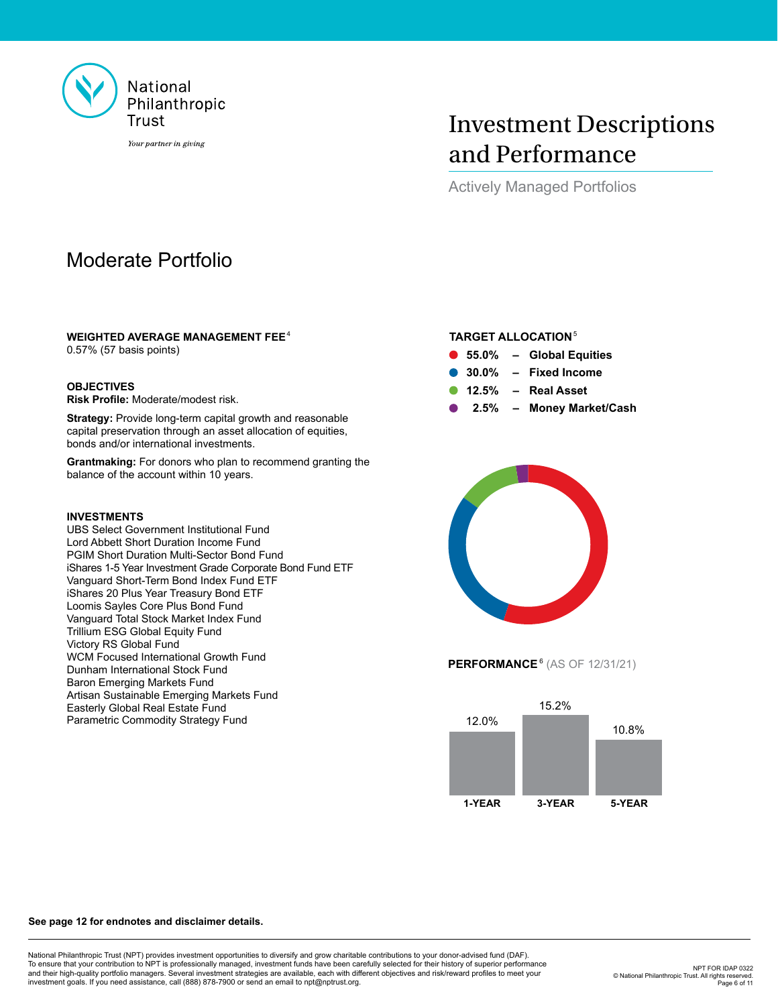

# Investment Descriptions and Performance

Actively Managed Portfolios

# Moderate Portfolio

## **WEIGHTED AVERAGE MANAGEMENT FEE**<sup>4</sup>

0.57% (57 basis points)

### **OBJECTIVES**

**Risk Profile:** Moderate/modest risk.

**Strategy:** Provide long-term capital growth and reasonable capital preservation through an asset allocation of equities, bonds and/or international investments.

**Grantmaking:** For donors who plan to recommend granting the balance of the account within 10 years.

### **INVESTMENTS**

UBS Select Government Institutional Fund Lord Abbett Short Duration Income Fund PGIM Short Duration Multi-Sector Bond Fund iShares 1-5 Year Investment Grade Corporate Bond Fund ETF Vanguard Short-Term Bond Index Fund ETF iShares 20 Plus Year Treasury Bond ETF Loomis Sayles Core Plus Bond Fund Vanguard Total Stock Market Index Fund Trillium ESG Global Equity Fund Victory RS Global Fund WCM Focused International Growth Fund Dunham International Stock Fund Baron Emerging Markets Fund Artisan Sustainable Emerging Markets Fund Easterly Global Real Estate Fund Parametric Commodity Strategy Fund

## **TARGET ALLOCATION**<sup>5</sup>

- **55.0% – Global Equities**
- **30.0% – Fixed Income**
- **12.5% – Real Asset**
- **2.5% – Money Market/Cash**



**PERFORMANCE**<sup>6</sup> (AS OF 12/31/21)



#### **See page 12 for endnotes and disclaimer details.**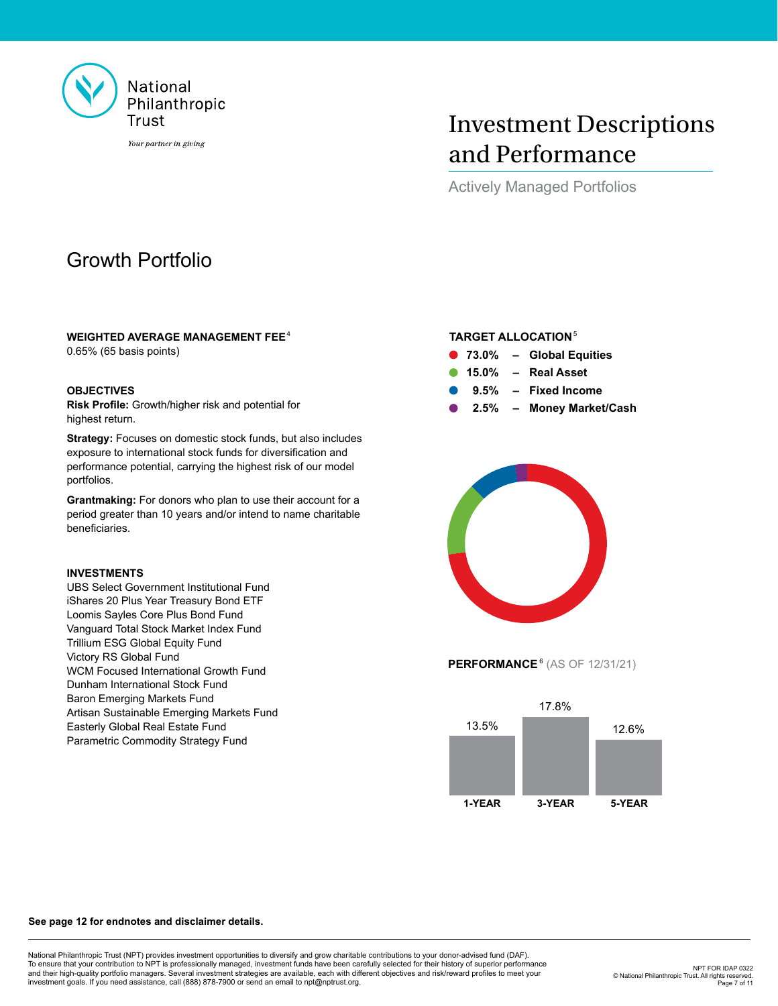

# Investment Descriptions and Performance

Actively Managed Portfolios

# Growth Portfolio

## **WEIGHTED AVERAGE MANAGEMENT FEE**<sup>4</sup>

0.65% (65 basis points)

## **OBJECTIVES**

**Risk Profile:** Growth/higher risk and potential for highest return.

**Strategy:** Focuses on domestic stock funds, but also includes exposure to international stock funds for diversification and performance potential, carrying the highest risk of our model portfolios.

**Grantmaking:** For donors who plan to use their account for a period greater than 10 years and/or intend to name charitable beneficiaries.

## **INVESTMENTS**

UBS Select Government Institutional Fund iShares 20 Plus Year Treasury Bond ETF Loomis Sayles Core Plus Bond Fund Vanguard Total Stock Market Index Fund Trillium ESG Global Equity Fund Victory RS Global Fund WCM Focused International Growth Fund Dunham International Stock Fund Baron Emerging Markets Fund Artisan Sustainable Emerging Markets Fund Easterly Global Real Estate Fund Parametric Commodity Strategy Fund

# **TARGET ALLOCATION**<sup>5</sup>

- **73.0% – Global Equities 15.0% – Real Asset**
	- **9.5% – Fixed Income**
	- **2.5% – Money Market/Cash**



**PERFORMANCE**<sup>6</sup> (AS OF 12/31/21)



### **See page 12 for endnotes and disclaimer details.**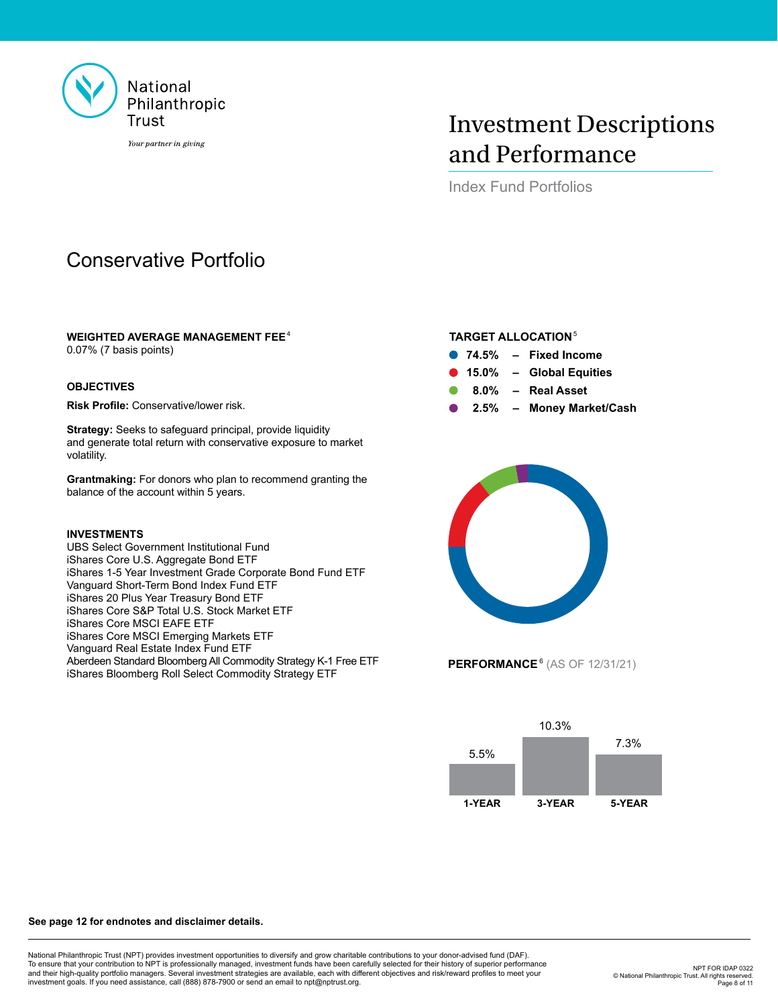

# Investment Descriptions and Performance

Index Fund Portfolios

# Conservative Portfolio

## **WEIGHTED AVERAGE MANAGEMENT FEE**<sup>4</sup>

0.07% (7 basis points)

## **OBJECTIVES**

**Risk Profile:** Conservative/lower risk.

**Strategy:** Seeks to safeguard principal, provide liquidity and generate total return with conservative exposure to market volatility.

**Grantmaking:** For donors who plan to recommend granting the balance of the account within 5 years.

### **INVESTMENTS**

UBS Select Government Institutional Fund iShares Core U.S. Aggregate Bond ETF iShares 1-5 Year Investment Grade Corporate Bond Fund ETF Vanguard Short-Term Bond Index Fund ETF iShares 20 Plus Year Treasury Bond ETF iShares Core S&P Total U.S. Stock Market ETF iShares Core MSCI EAFE ETF iShares Core MSCI Emerging Markets ETF Vanguard Real Estate Index Fund ETF Aberdeen Standard Bloomberg All Commodity Strategy K-1 Free ETF iShares Bloomberg Roll Select Commodity Strategy ETF

# **TARGET ALLOCATION**<sup>5</sup>

- **74.5% – Fixed Income**
- **15.0% – Global Equities**
- **8.0% – Real Asset**
- **2.5% – Money Market/Cash**



**PERFORMANCE**<sup>6</sup> (AS OF 12/31/21)



### **See page 12 for endnotes and disclaimer details.**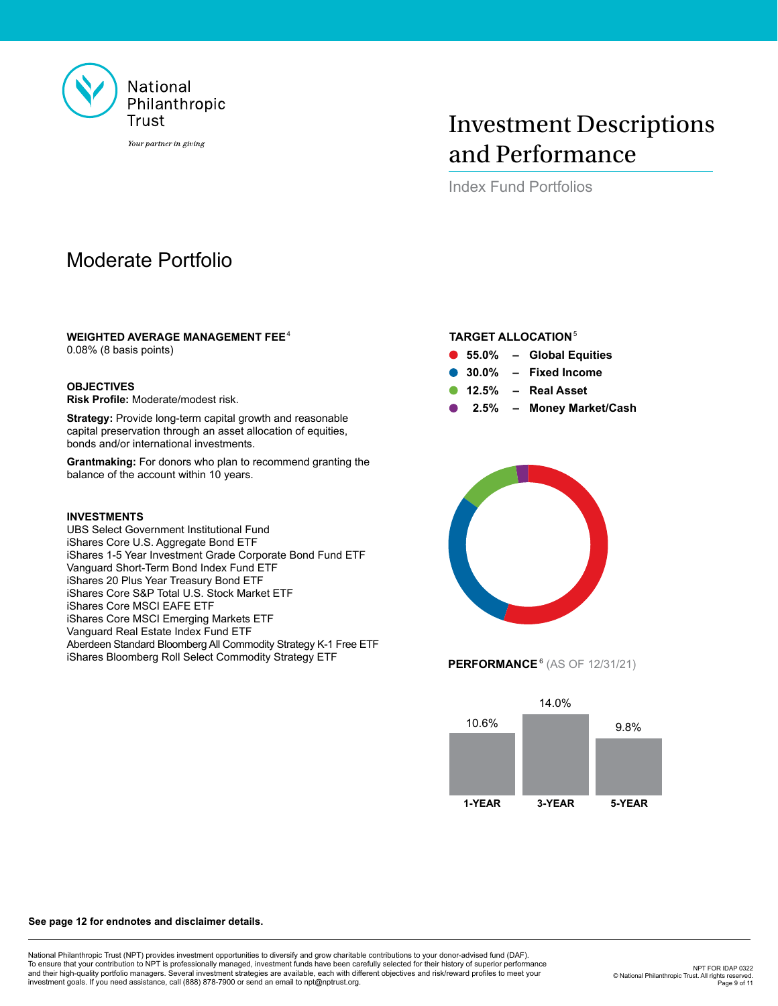

# Investment Descriptions and Performance

Index Fund Portfolios

# Moderate Portfolio

## **WEIGHTED AVERAGE MANAGEMENT FEE**<sup>4</sup>

0.08% (8 basis points)

### **OBJECTIVES**

**Risk Profile:** Moderate/modest risk.

**Strategy:** Provide long-term capital growth and reasonable capital preservation through an asset allocation of equities, bonds and/or international investments.

**Grantmaking:** For donors who plan to recommend granting the balance of the account within 10 years.

### **INVESTMENTS**

UBS Select Government Institutional Fund iShares Core U.S. Aggregate Bond ETF iShares 1-5 Year Investment Grade Corporate Bond Fund ETF Vanguard Short-Term Bond Index Fund ETF iShares 20 Plus Year Treasury Bond ETF iShares Core S&P Total U.S. Stock Market ETF iShares Core MSCI EAFE ETF iShares Core MSCI Emerging Markets ETF Vanguard Real Estate Index Fund ETF Aberdeen Standard Bloomberg All Commodity Strategy K-1 Free ETF iShares Bloomberg Roll Select Commodity Strategy ETF

## **TARGET ALLOCATION**<sup>5</sup>

- **55.0% – Global Equities**
- **30.0% – Fixed Income**
- **12.5% – Real Asset**
- **2.5% – Money Market/Cash**



**PERFORMANCE**<sup>6</sup> (AS OF 12/31/21)



### **See page 12 for endnotes and disclaimer details.**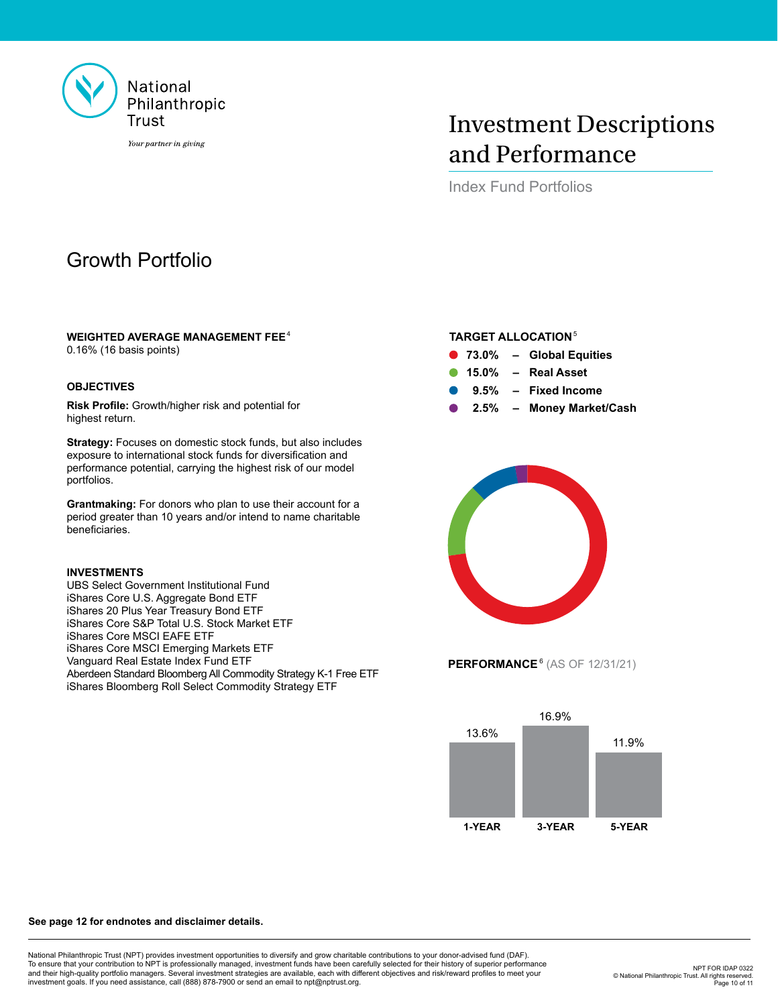

# Investment Descriptions and Performance

Index Fund Portfolios

# Growth Portfolio

### **WEIGHTED AVERAGE MANAGEMENT FEE**<sup>4</sup>

0.16% (16 basis points)

### **OBJECTIVES**

**Risk Profile:** Growth/higher risk and potential for highest return.

**Strategy:** Focuses on domestic stock funds, but also includes exposure to international stock funds for diversification and performance potential, carrying the highest risk of our model portfolios.

**Grantmaking:** For donors who plan to use their account for a period greater than 10 years and/or intend to name charitable beneficiaries.

### **INVESTMENTS**

UBS Select Government Institutional Fund iShares Core U.S. Aggregate Bond ETF iShares 20 Plus Year Treasury Bond ETF iShares Core S&P Total U.S. Stock Market ETF iShares Core MSCI EAFE ETF iShares Core MSCI Emerging Markets ETF Vanguard Real Estate Index Fund ETF Aberdeen Standard Bloomberg All Commodity Strategy K-1 Free ETF iShares Bloomberg Roll Select Commodity Strategy ETF

# **TARGET ALLOCATION**<sup>5</sup>

- **73.0% – Global Equities**
- **15.0% – Real Asset**
- **9.5% – Fixed Income**
- **2.5% – Money Market/Cash**



**PERFORMANCE**<sup>6</sup> (AS OF 12/31/21)



#### **See page 12 for endnotes and disclaimer details.**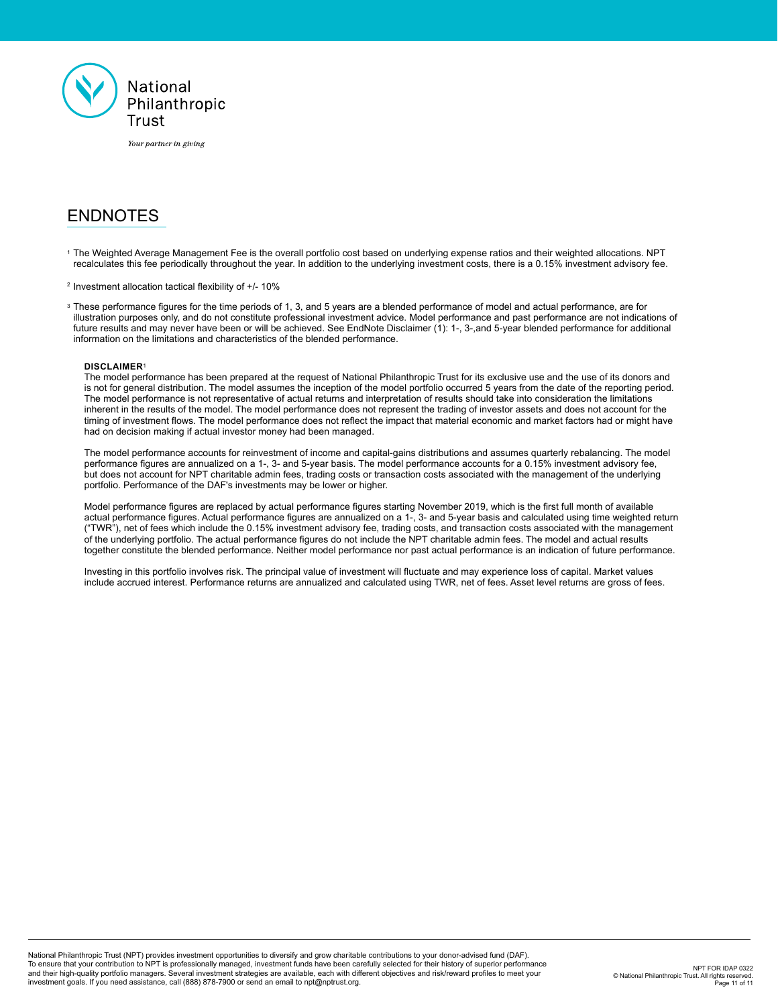

# ENDNOTES

<sup>1</sup>The Weighted Average Management Fee is the overall portfolio cost based on underlying expense ratios and their weighted allocations. NPT recalculates this fee periodically throughout the year. In addition to the underlying investment costs, there is a 0.15% investment advisory fee.

 $2$  Investment allocation tactical flexibility of  $+/- 10\%$ 

<sup>3</sup>These performance figures for the time periods of 1, 3, and 5 years are a blended performance of model and actual performance, are for illustration purposes only, and do not constitute professional investment advice. Model performance and past performance are not indications of future results and may never have been or will be achieved. See EndNote Disclaimer (1): 1-, 3-,and 5-year blended performance for additional information on the limitations and characteristics of the blended performance.

### **DISCLAIMER**<sup>1</sup>

The model performance has been prepared at the request of National Philanthropic Trust for its exclusive use and the use of its donors and is not for general distribution. The model assumes the inception of the model portfolio occurred 5 years from the date of the reporting period. The model performance is not representative of actual returns and interpretation of results should take into consideration the limitations inherent in the results of the model. The model performance does not represent the trading of investor assets and does not account for the timing of investment flows. The model performance does not reflect the impact that material economic and market factors had or might have had on decision making if actual investor money had been managed.

The model performance accounts for reinvestment of income and capital-gains distributions and assumes quarterly rebalancing. The model performance figures are annualized on a 1-, 3- and 5-year basis. The model performance accounts for a 0.15% investment advisory fee, but does not account for NPT charitable admin fees, trading costs or transaction costs associated with the management of the underlying portfolio. Performance of the DAF's investments may be lower or higher.

Model performance figures are replaced by actual performance figures starting November 2019, which is the first full month of available actual performance figures. Actual performance figures are annualized on a 1-, 3- and 5-year basis and calculated using time weighted return ("TWR"), net of fees which include the 0.15% investment advisory fee, trading costs, and transaction costs associated with the management of the underlying portfolio. The actual performance figures do not include the NPT charitable admin fees. The model and actual results together constitute the blended performance. Neither model performance nor past actual performance is an indication of future performance.

Investing in this portfolio involves risk. The principal value of investment will fluctuate and may experience loss of capital. Market values include accrued interest. Performance returns are annualized and calculated using TWR, net of fees. Asset level returns are gross of fees.